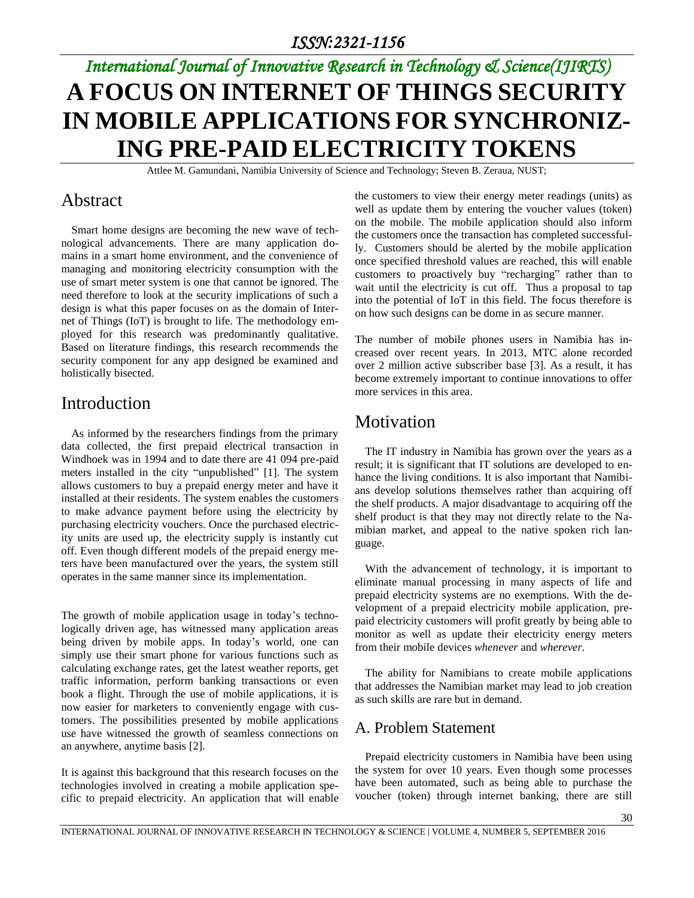# *International Journal of Innovative Research in Technology & Science(IJIRTS)* **A FOCUS ON INTERNET OF THINGS SECURITY IN MOBILE APPLICATIONS FOR SYNCHRONIZ-ING PRE-PAID ELECTRICITY TOKENS**

Attlee M. Gamundani, Namibia University of Science and Technology; Steven B. Zeraua, NUST;

#### Abstract

Smart home designs are becoming the new wave of technological advancements. There are many application domains in a smart home environment, and the convenience of managing and monitoring electricity consumption with the use of smart meter system is one that cannot be ignored. The need therefore to look at the security implications of such a design is what this paper focuses on as the domain of Internet of Things (IoT) is brought to life. The methodology employed for this research was predominantly qualitative. Based on literature findings, this research recommends the security component for any app designed be examined and holistically bisected.

#### Introduction

As informed by the researchers findings from the primary data collected, the first prepaid electrical transaction in Windhoek was in 1994 and to date there are 41 094 pre-paid meters installed in the city "unpublished" [1]. The system allows customers to buy a prepaid energy meter and have it installed at their residents. The system enables the customers to make advance payment before using the electricity by purchasing electricity vouchers. Once the purchased electricity units are used up, the electricity supply is instantly cut off. Even though different models of the prepaid energy meters have been manufactured over the years, the system still operates in the same manner since its implementation.

The growth of mobile application usage in today's technologically driven age, has witnessed many application areas being driven by mobile apps. In today's world, one can simply use their smart phone for various functions such as calculating exchange rates, get the latest weather reports, get traffic information, perform banking transactions or even book a flight. Through the use of mobile applications, it is now easier for marketers to conveniently engage with customers. The possibilities presented by mobile applications use have witnessed the growth of seamless connections on an anywhere, anytime basis [2].

It is against this background that this research focuses on the technologies involved in creating a mobile application specific to prepaid electricity. An application that will enable

the customers to view their energy meter readings (units) as well as update them by entering the voucher values (token) on the mobile. The mobile application should also inform the customers once the transaction has completed successfully. Customers should be alerted by the mobile application once specified threshold values are reached, this will enable customers to proactively buy "recharging" rather than to wait until the electricity is cut off. Thus a proposal to tap into the potential of IoT in this field. The focus therefore is on how such designs can be dome in as secure manner.

The number of mobile phones users in Namibia has increased over recent years. In 2013, MTC alone recorded over 2 million active subscriber base [3]. As a result, it has become extremely important to continue innovations to offer more services in this area.

## **Motivation**

The IT industry in Namibia has grown over the years as a result; it is significant that IT solutions are developed to enhance the living conditions. It is also important that Namibians develop solutions themselves rather than acquiring off the shelf products. A major disadvantage to acquiring off the shelf product is that they may not directly relate to the Namibian market, and appeal to the native spoken rich language.

With the advancement of technology, it is important to eliminate manual processing in many aspects of life and prepaid electricity systems are no exemptions. With the development of a prepaid electricity mobile application, prepaid electricity customers will profit greatly by being able to monitor as well as update their electricity energy meters from their mobile devices *whenever* and *wherever*.

The ability for Namibians to create mobile applications that addresses the Namibian market may lead to job creation as such skills are rare but in demand.

#### A. Problem Statement

Prepaid electricity customers in Namibia have been using the system for over 10 years. Even though some processes have been automated, such as being able to purchase the voucher (token) through internet banking, there are still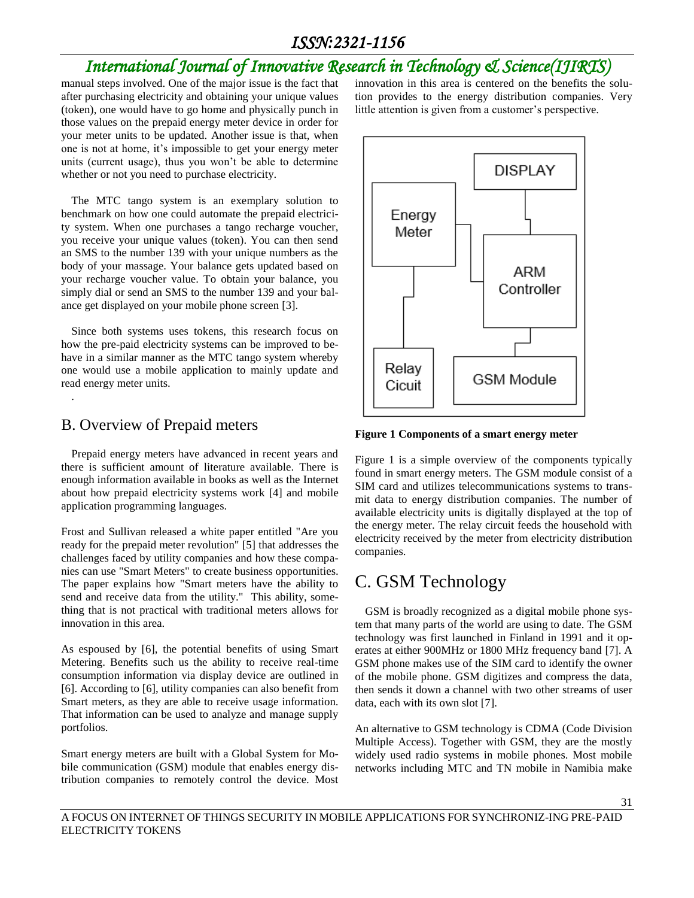# *International Journal of Innovative Research in Technology & Science(IJIRTS)*

manual steps involved. One of the major issue is the fact that after purchasing electricity and obtaining your unique values (token), one would have to go home and physically punch in those values on the prepaid energy meter device in order for your meter units to be updated. Another issue is that, when one is not at home, it's impossible to get your energy meter units (current usage), thus you won't be able to determine whether or not you need to purchase electricity.

The MTC tango system is an exemplary solution to benchmark on how one could automate the prepaid electricity system. When one purchases a tango recharge voucher, you receive your unique values (token). You can then send an SMS to the number 139 with your unique numbers as the body of your massage. Your balance gets updated based on your recharge voucher value. To obtain your balance, you simply dial or send an SMS to the number 139 and your balance get displayed on your mobile phone screen [3].

Since both systems uses tokens, this research focus on how the pre-paid electricity systems can be improved to behave in a similar manner as the MTC tango system whereby one would use a mobile application to mainly update and read energy meter units.

#### B. Overview of Prepaid meters

.

Prepaid energy meters have advanced in recent years and there is sufficient amount of literature available. There is enough information available in books as well as the Internet about how prepaid electricity systems work [4] and mobile application programming languages.

Frost and Sullivan released a white paper entitled "Are you ready for the prepaid meter revolution" [5] that addresses the challenges faced by utility companies and how these companies can use "Smart Meters" to create business opportunities. The paper explains how "Smart meters have the ability to send and receive data from the utility." This ability, something that is not practical with traditional meters allows for innovation in this area.

As espoused by [6], the potential benefits of using Smart Metering. Benefits such us the ability to receive real-time consumption information via display device are outlined in [6]. According to [6], utility companies can also benefit from Smart meters, as they are able to receive usage information. That information can be used to analyze and manage supply portfolios.

Smart energy meters are built with a Global System for Mobile communication (GSM) module that enables energy distribution companies to remotely control the device. Most innovation in this area is centered on the benefits the solution provides to the energy distribution companies. Very little attention is given from a customer's perspective.



**Figure 1 Components of a smart energy meter**

Figure 1 is a simple overview of the components typically found in smart energy meters. The GSM module consist of a SIM card and utilizes telecommunications systems to transmit data to energy distribution companies. The number of available electricity units is digitally displayed at the top of the energy meter. The relay circuit feeds the household with electricity received by the meter from electricity distribution companies.

## C. GSM Technology

GSM is broadly recognized as a digital mobile phone system that many parts of the world are using to date. The GSM technology was first launched in Finland in 1991 and it operates at either 900MHz or 1800 MHz frequency band [7]. A GSM phone makes use of the SIM card to identify the owner of the mobile phone. GSM digitizes and compress the data, then sends it down a channel with two other streams of user data, each with its own slot [7].

An alternative to GSM technology is CDMA (Code Division Multiple Access). Together with GSM, they are the mostly widely used radio systems in mobile phones. Most mobile networks including MTC and TN mobile in Namibia make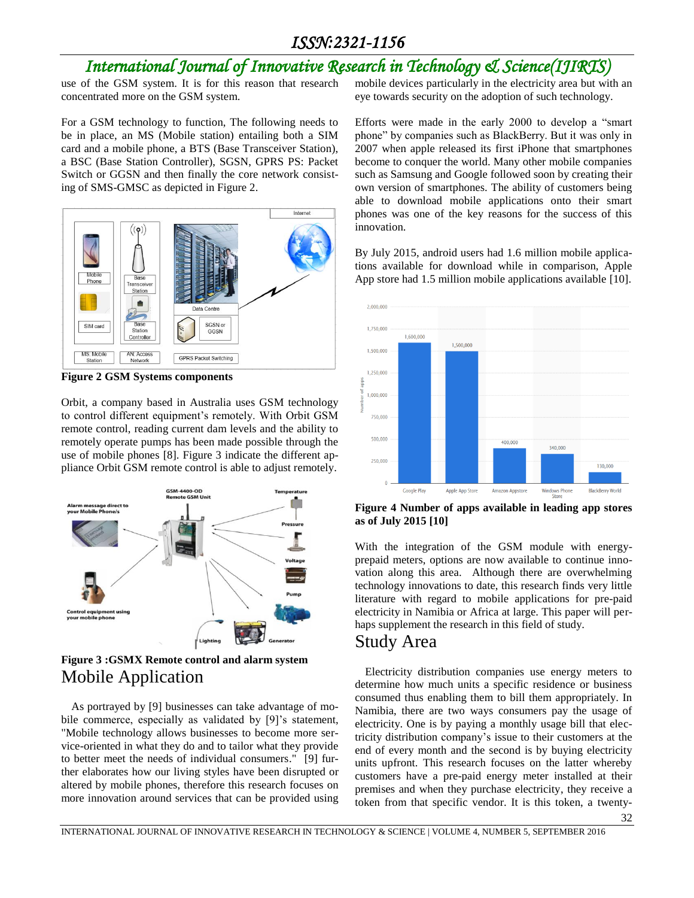# *International Journal of Innovative Research in Technology & Science(IJIRTS)*

use of the GSM system. It is for this reason that research concentrated more on the GSM system.

For a GSM technology to function, The following needs to be in place, an MS (Mobile station) entailing both a SIM card and a mobile phone, a BTS (Base Transceiver Station), a BSC (Base Station Controller), SGSN, GPRS PS: Packet Switch or GGSN and then finally the core network consisting of SMS-GMSC as depicted in Figure 2.



**Figure 2 GSM Systems components**

Orbit, a company based in Australia uses GSM technology to control different equipment's remotely. With Orbit GSM remote control, reading current dam levels and the ability to remotely operate pumps has been made possible through the use of mobile phones [8]. Figure 3 indicate the different appliance Orbit GSM remote control is able to adjust remotely.



**Figure 3 :GSMX Remote control and alarm system** Mobile Application

As portrayed by [9] businesses can take advantage of mobile commerce, especially as validated by [9]'s statement, "Mobile technology allows businesses to become more service-oriented in what they do and to tailor what they provide to better meet the needs of individual consumers." [9] further elaborates how our living styles have been disrupted or altered by mobile phones, therefore this research focuses on more innovation around services that can be provided using

mobile devices particularly in the electricity area but with an eye towards security on the adoption of such technology.

Efforts were made in the early 2000 to develop a "smart phone" by companies such as BlackBerry. But it was only in 2007 when apple released its first iPhone that smartphones become to conquer the world. Many other mobile companies such as Samsung and Google followed soon by creating their own version of smartphones. The ability of customers being able to download mobile applications onto their smart phones was one of the key reasons for the success of this innovation.

By July 2015, android users had 1.6 million mobile applications available for download while in comparison, Apple App store had 1.5 million mobile applications available [10].



**Figure 4 Number of apps available in leading app stores as of July 2015 [10]**

With the integration of the GSM module with energyprepaid meters, options are now available to continue innovation along this area. Although there are overwhelming technology innovations to date, this research finds very little literature with regard to mobile applications for pre-paid electricity in Namibia or Africa at large. This paper will perhaps supplement the research in this field of study.

#### Study Area

Electricity distribution companies use energy meters to determine how much units a specific residence or business consumed thus enabling them to bill them appropriately. In Namibia, there are two ways consumers pay the usage of electricity. One is by paying a monthly usage bill that electricity distribution company's issue to their customers at the end of every month and the second is by buying electricity units upfront. This research focuses on the latter whereby customers have a pre-paid energy meter installed at their premises and when they purchase electricity, they receive a token from that specific vendor. It is this token, a twenty-

32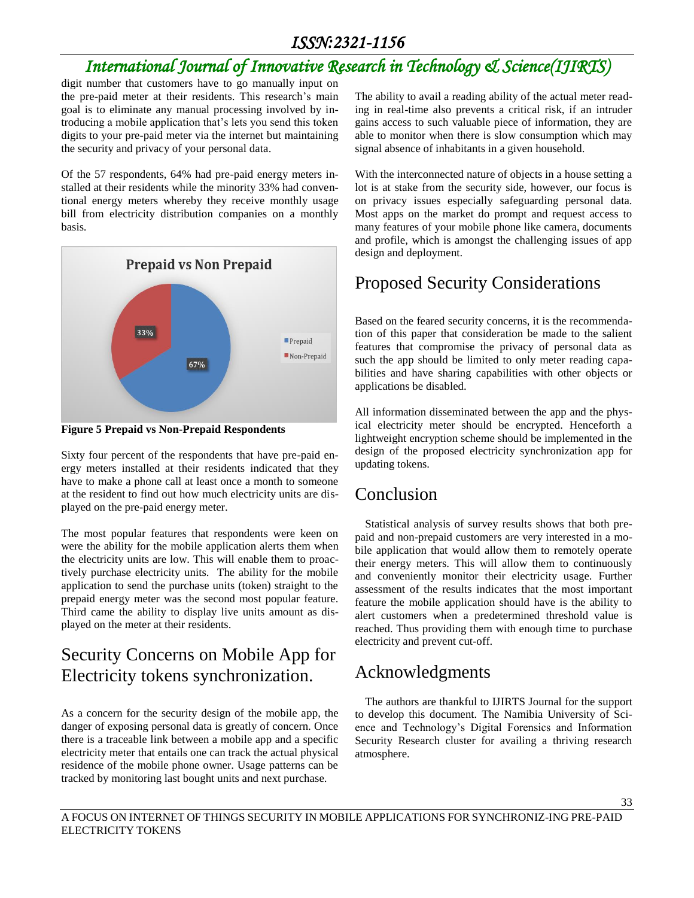# *International Journal of Innovative Research in Technology & Science(IJIRTS)*

digit number that customers have to go manually input on the pre-paid meter at their residents. This research's main goal is to eliminate any manual processing involved by introducing a mobile application that's lets you send this token digits to your pre-paid meter via the internet but maintaining the security and privacy of your personal data.

Of the 57 respondents, 64% had pre-paid energy meters installed at their residents while the minority 33% had conventional energy meters whereby they receive monthly usage bill from electricity distribution companies on a monthly basis.



**Figure 5 Prepaid vs Non-Prepaid Respondents**

Sixty four percent of the respondents that have pre-paid energy meters installed at their residents indicated that they have to make a phone call at least once a month to someone at the resident to find out how much electricity units are displayed on the pre-paid energy meter.

The most popular features that respondents were keen on were the ability for the mobile application alerts them when the electricity units are low. This will enable them to proactively purchase electricity units. The ability for the mobile application to send the purchase units (token) straight to the prepaid energy meter was the second most popular feature. Third came the ability to display live units amount as displayed on the meter at their residents.

# Security Concerns on Mobile App for Electricity tokens synchronization.

As a concern for the security design of the mobile app, the danger of exposing personal data is greatly of concern. Once there is a traceable link between a mobile app and a specific electricity meter that entails one can track the actual physical residence of the mobile phone owner. Usage patterns can be tracked by monitoring last bought units and next purchase.

The ability to avail a reading ability of the actual meter reading in real-time also prevents a critical risk, if an intruder gains access to such valuable piece of information, they are able to monitor when there is slow consumption which may signal absence of inhabitants in a given household.

With the interconnected nature of objects in a house setting a lot is at stake from the security side, however, our focus is on privacy issues especially safeguarding personal data. Most apps on the market do prompt and request access to many features of your mobile phone like camera, documents and profile, which is amongst the challenging issues of app design and deployment.

# Proposed Security Considerations

Based on the feared security concerns, it is the recommendation of this paper that consideration be made to the salient features that compromise the privacy of personal data as such the app should be limited to only meter reading capabilities and have sharing capabilities with other objects or applications be disabled.

All information disseminated between the app and the physical electricity meter should be encrypted. Henceforth a lightweight encryption scheme should be implemented in the design of the proposed electricity synchronization app for updating tokens.

## Conclusion

Statistical analysis of survey results shows that both prepaid and non-prepaid customers are very interested in a mobile application that would allow them to remotely operate their energy meters. This will allow them to continuously and conveniently monitor their electricity usage. Further assessment of the results indicates that the most important feature the mobile application should have is the ability to alert customers when a predetermined threshold value is reached. Thus providing them with enough time to purchase electricity and prevent cut-off.

# Acknowledgments

The authors are thankful to IJIRTS Journal for the support to develop this document. The Namibia University of Science and Technology's Digital Forensics and Information Security Research cluster for availing a thriving research atmosphere.